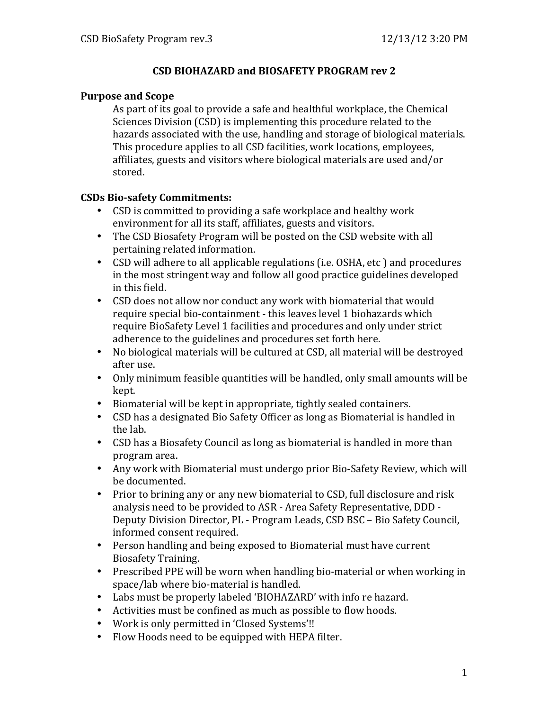### **CSD BIOHAZARD and BIOSAFETY PROGRAM rev 2**

### **Purpose and Scope**

As part of its goal to provide a safe and healthful workplace, the Chemical Sciences Division (CSD) is implementing this procedure related to the hazards associated with the use, handling and storage of biological materials. This procedure applies to all CSD facilities, work locations, employees, affiliates, guests and visitors where biological materials are used and/or stored.

### **CSDs Bio-safety Commitments:**

- CSD is committed to providing a safe workplace and healthy work environment for all its staff, affiliates, guests and visitors.
- The CSD Biosafety Program will be posted on the CSD website with all pertaining related information.
- CSD will adhere to all applicable regulations (i.e. OSHA, etc ) and procedures in the most stringent way and follow all good practice guidelines developed in this field.
- CSD does not allow nor conduct any work with biomaterial that would require special bio-containment - this leaves level 1 biohazards which require BioSafety Level 1 facilities and procedures and only under strict adherence to the guidelines and procedures set forth here.
- No biological materials will be cultured at CSD, all material will be destroyed after use.
- Only minimum feasible quantities will be handled, only small amounts will be kept.
- Biomaterial will be kept in appropriate, tightly sealed containers.
- CSD has a designated Bio Safety Officer as long as Biomaterial is handled in the lab.
- CSD has a Biosafety Council as long as biomaterial is handled in more than program area.
- Any work with Biomaterial must undergo prior Bio-Safety Review, which will be documented.
- Prior to brining any or any new biomaterial to CSD, full disclosure and risk  $\overline{\phantom{a}}$ analysis need to be provided to ASR - Area Safety Representative, DDD -Deputy Division Director, PL - Program Leads, CSD BSC – Bio Safety Council, informed consent required.
- Person handling and being exposed to Biomaterial must have current Biosafety Training.
- Prescribed PPE will be worn when handling bio-material or when working in space/lab where bio-material is handled.
- Labs must be properly labeled 'BIOHAZARD' with info re hazard.
- Activities must be confined as much as possible to flow hoods.
- Work is only permitted in 'Closed Systems'!!
- Flow Hoods need to be equipped with HEPA filter.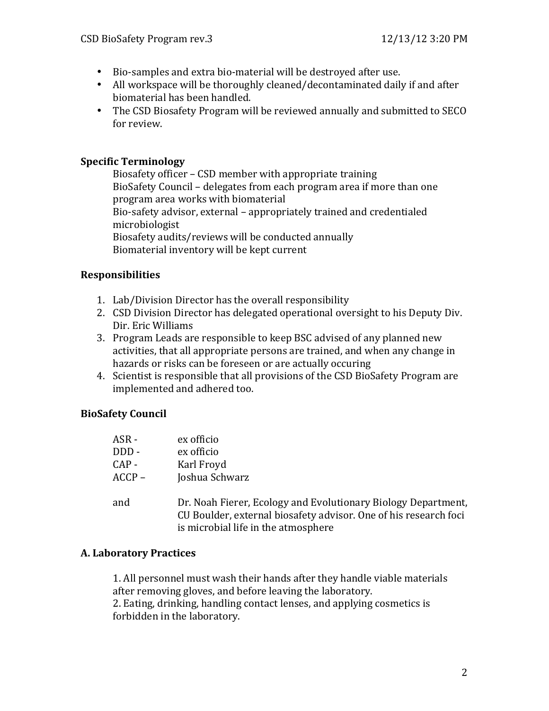- Bio-samples and extra bio-material will be destroyed after use.
- All workspace will be thoroughly cleaned/decontaminated daily if and after biomaterial has been handled.
- The CSD Biosafety Program will be reviewed annually and submitted to SECO for review.

## **Specific\$Terminology**

Biosafety officer – CSD member with appropriate training BioSafety Council – delegates from each program area if more than one program area works with biomaterial Bio-safety advisor, external – appropriately trained and credentialed microbiologist Biosafety audits/reviews will be conducted annually Biomaterial inventory will be kept current

### **Responsibilities**

- 1. Lab/Division Director has the overall responsibility
- 2. CSD Division Director has delegated operational oversight to his Deputy Div. Dir. Eric Williams
- 3. Program Leads are responsible to keep BSC advised of any planned new activities, that all appropriate persons are trained, and when any change in hazards or risks can be foreseen or are actually occuring
- 4. Scientist is responsible that all provisions of the CSD BioSafety Program are implemented and adhered too.

## **BioSafety\$Council**

| ASR -    | ex officio                                                                                                                                                               |
|----------|--------------------------------------------------------------------------------------------------------------------------------------------------------------------------|
| DDD-     | ex officio                                                                                                                                                               |
| $CAP -$  | Karl Froyd                                                                                                                                                               |
| $ACCP -$ | Joshua Schwarz                                                                                                                                                           |
| and      | Dr. Noah Fierer, Ecology and Evolutionary Biology Department,<br>CU Boulder, external biosafety advisor. One of his research foci<br>is microbial life in the atmosphere |

### **A. Laboratory Practices**

1. All personnel must wash their hands after they handle viable materials after removing gloves, and before leaving the laboratory. 2. Eating, drinking, handling contact lenses, and applying cosmetics is forbidden in the laboratory.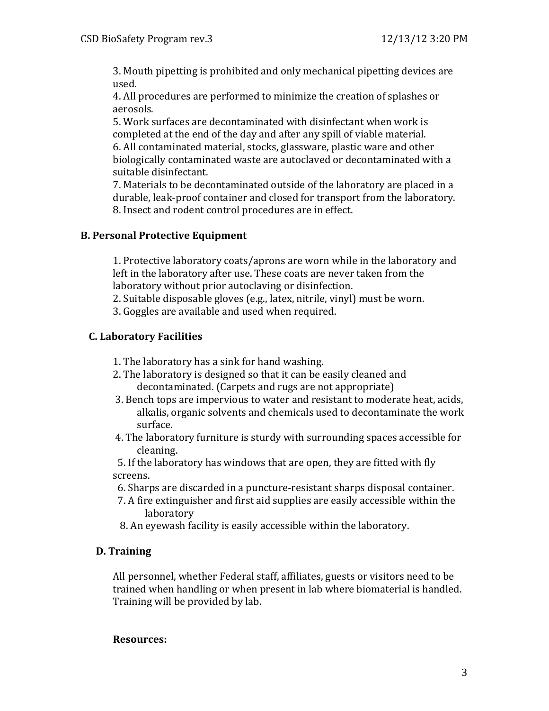3. Mouth pipetting is prohibited and only mechanical pipetting devices are used.

4. All procedures are performed to minimize the creation of splashes or aerosols.

5. Work surfaces are decontaminated with disinfectant when work is completed at the end of the day and after any spill of viable material. 6. All contaminated material, stocks, glassware, plastic ware and other biologically contaminated waste are autoclaved or decontaminated with a suitable disinfectant.

7. Materials to be decontaminated outside of the laboratory are placed in a durable, leak-proof container and closed for transport from the laboratory. 8. Insect and rodent control procedures are in effect.

## **B.** Personal Protective Equipment

1. Protective laboratory coats/aprons are worn while in the laboratory and left in the laboratory after use. These coats are never taken from the laboratory without prior autoclaving or disinfection.

2. Suitable disposable gloves (e.g., latex, nitrile, vinyl) must be worn.

3. Goggles are available and used when required.

# **C.** Laboratory Facilities

- 1. The laboratory has a sink for hand washing.
- 2. The laboratory is designed so that it can be easily cleaned and decontaminated. (Carpets and rugs are not appropriate)
- 3. Bench tops are impervious to water and resistant to moderate heat, acids, alkalis, organic solvents and chemicals used to decontaminate the work surface.
- 4. The laboratory furniture is sturdy with surrounding spaces accessible for cleaning.

5. If the laboratory has windows that are open, they are fitted with fly screens.

- 6. Sharps are discarded in a puncture-resistant sharps disposal container.
- 7. A fire extinguisher and first aid supplies are easily accessible within the laboratory
- 8. An eyewash facility is easily accessible within the laboratory.

## **D. Training**

All personnel, whether Federal staff, affiliates, guests or visitors need to be trained when handling or when present in lab where biomaterial is handled. Training will be provided by lab.

### **Resources:**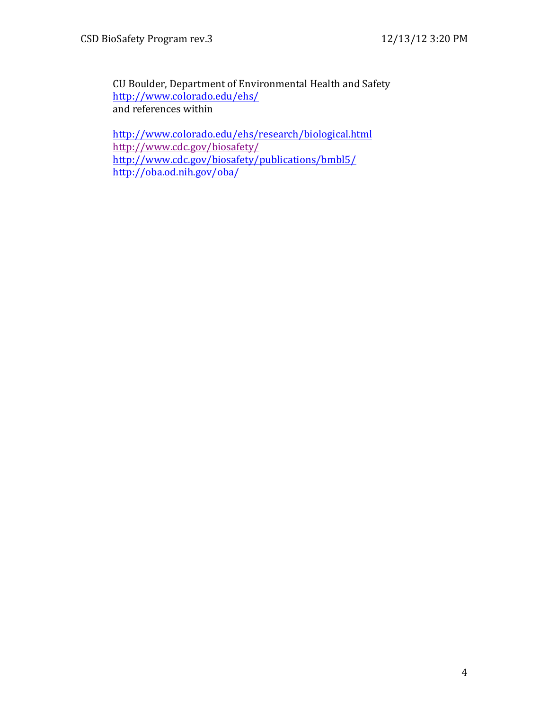CU Boulder, Department of Environmental Health and Safety http://www.colorado.edu/ehs/ and references within

http://www.colorado.edu/ehs/research/biological.html http://www.cdc.gov/biosafety/ http://www.cdc.gov/biosafety/publications/bmbl5/ http://oba.od.nih.gov/oba/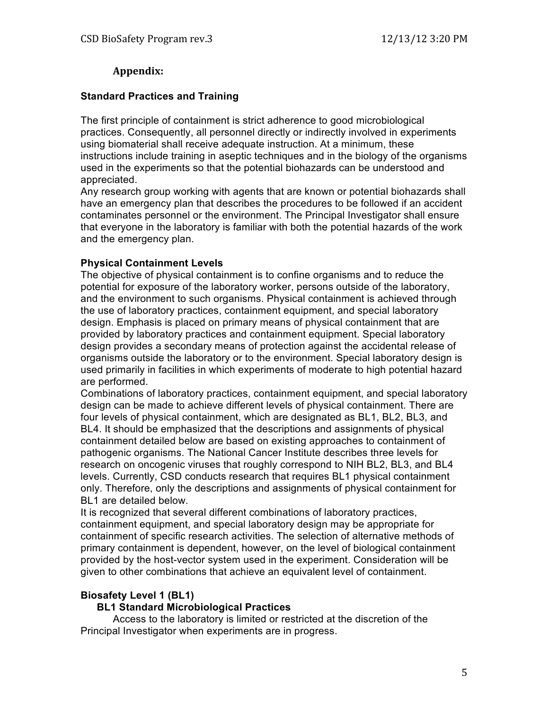### **Appendix:**

### **Standard Practices and Training**

The first principle of containment is strict adherence to good microbiological practices. Consequently, all personnel directly or indirectly involved in experiments using biomaterial shall receive adequate instruction. At a minimum, these instructions include training in aseptic techniques and in the biology of the organisms used in the experiments so that the potential biohazards can be understood and appreciated.

Any research group working with agents that are known or potential biohazards shall have an emergency plan that describes the procedures to be followed if an accident contaminates personnel or the environment. The Principal Investigator shall ensure that everyone in the laboratory is familiar with both the potential hazards of the work and the emergency plan.

#### **Physical Containment Levels**

The objective of physical containment is to confine organisms and to reduce the potential for exposure of the laboratory worker, persons outside of the laboratory, and the environment to such organisms. Physical containment is achieved through the use of laboratory practices, containment equipment, and special laboratory design. Emphasis is placed on primary means of physical containment that are provided by laboratory practices and containment equipment. Special laboratory design provides a secondary means of protection against the accidental release of organisms outside the laboratory or to the environment. Special laboratory design is used primarily in facilities in which experiments of moderate to high potential hazard are performed.

Combinations of laboratory practices, containment equipment, and special laboratory design can be made to achieve different levels of physical containment. There are four levels of physical containment, which are designated as BL1, BL2, BL3, and BL4. It should be emphasized that the descriptions and assignments of physical containment detailed below are based on existing approaches to containment of pathogenic organisms. The National Cancer Institute describes three levels for research on oncogenic viruses that roughly correspond to NIH BL2, BL3, and BL4 levels. Currently, CSD conducts research that requires BL1 physical containment only. Therefore, only the descriptions and assignments of physical containment for BL1 are detailed below.

It is recognized that several different combinations of laboratory practices, containment equipment, and special laboratory design may be appropriate for containment of specific research activities. The selection of alternative methods of primary containment is dependent, however, on the level of biological containment provided by the host-vector system used in the experiment. Consideration will be given to other combinations that achieve an equivalent level of containment.

### **Biosafety Level 1 (BL1)**

### **BL1 Standard Microbiological Practices**

Access to the laboratory is limited or restricted at the discretion of the Principal Investigator when experiments are in progress.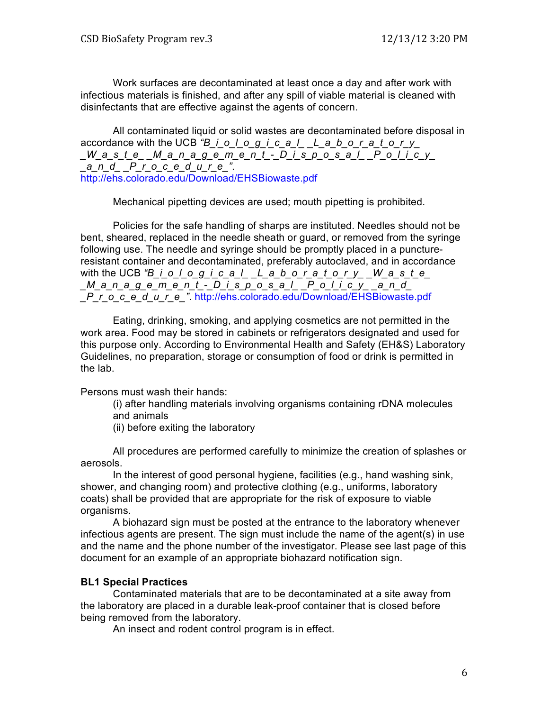Work surfaces are decontaminated at least once a day and after work with infectious materials is finished, and after any spill of viable material is cleaned with disinfectants that are effective against the agents of concern.

All contaminated liquid or solid wastes are decontaminated before disposal in accordance with the UCB *"B\_i\_o\_l\_o\_g\_i\_c\_a\_l\_ \_L\_a\_b\_o\_r\_a\_t\_o\_r\_y\_ \_W\_a\_s\_t\_e\_ \_M\_a\_n\_a\_g\_e\_m\_e\_n\_t\_-\_D\_i\_s\_p\_o\_s\_a\_l\_ \_P\_o\_l\_i\_c\_y\_ \_a\_n\_d\_ \_P\_r\_o\_c\_e\_d\_u\_r\_e\_"*. http://ehs.colorado.edu/Download/EHSBiowaste.pdf

Mechanical pipetting devices are used; mouth pipetting is prohibited.

Policies for the safe handling of sharps are instituted. Needles should not be bent, sheared, replaced in the needle sheath or guard, or removed from the syringe following use. The needle and syringe should be promptly placed in a punctureresistant container and decontaminated, preferably autoclaved, and in accordance with the UCB *"B\_i\_o\_l\_o\_g\_i\_c\_a\_l\_\_L\_a\_b\_o\_r\_a\_t\_o\_ry\_W\_a\_s\_t\_e\_ \_M\_a\_n\_a\_g\_e\_m\_e\_n\_t\_-\_D\_i\_s\_p\_o\_s\_a\_l\_ \_P\_o\_l\_i\_c\_y\_ \_a\_n\_d\_ \_P\_r\_o\_c\_e\_d\_u\_r\_e\_"*. http://ehs.colorado.edu/Download/EHSBiowaste.pdf

Eating, drinking, smoking, and applying cosmetics are not permitted in the work area. Food may be stored in cabinets or refrigerators designated and used for this purpose only. According to Environmental Health and Safety (EH&S) Laboratory Guidelines, no preparation, storage or consumption of food or drink is permitted in the lab.

Persons must wash their hands:

(i) after handling materials involving organisms containing rDNA molecules and animals

(ii) before exiting the laboratory

All procedures are performed carefully to minimize the creation of splashes or aerosols.

In the interest of good personal hygiene, facilities (e.g., hand washing sink, shower, and changing room) and protective clothing (e.g., uniforms, laboratory coats) shall be provided that are appropriate for the risk of exposure to viable organisms.

A biohazard sign must be posted at the entrance to the laboratory whenever infectious agents are present. The sign must include the name of the agent(s) in use and the name and the phone number of the investigator. Please see last page of this document for an example of an appropriate biohazard notification sign.

#### **BL1 Special Practices**

Contaminated materials that are to be decontaminated at a site away from the laboratory are placed in a durable leak-proof container that is closed before being removed from the laboratory.

An insect and rodent control program is in effect.